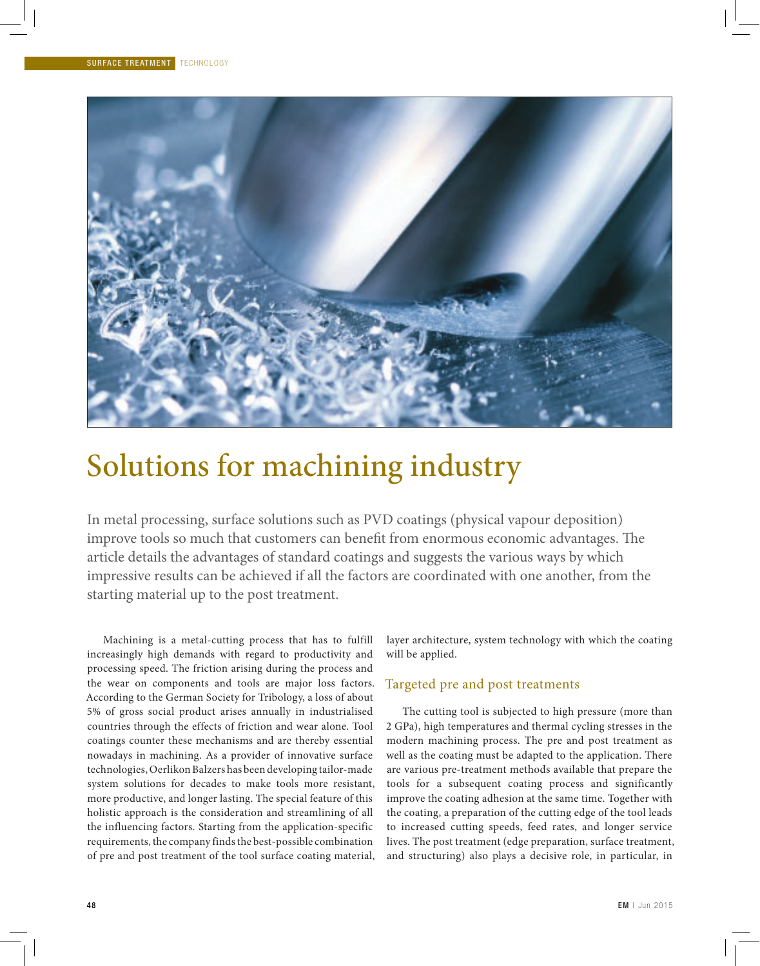

# Solutions for machining industry

In metal processing, surface solutions such as PVD coatings (physical vapour deposition) improve tools so much that customers can benefit from enormous economic advantages. The article details the advantages of standard coatings and suggests the various ways by which impressive results can be achieved if all the factors are coordinated with one another, from the starting material up to the post treatment.

Machining is a metal-cutting process that has to fulfill increasingly high demands with regard to productivity and processing speed. The friction arising during the process and the wear on components and tools are major loss factors. According to the German Society for Tribology, a loss of about 5% of gross social product arises annually in industrialised countries through the effects of friction and wear alone. Tool coatings counter these mechanisms and are thereby essential nowadays in machining. As a provider of innovative surface technologies, Oerlikon Balzers has been developing tailor-made system solutions for decades to make tools more resistant, more productive, and longer lasting. The special feature of this holistic approach is the consideration and streamlining of all the influencing factors. Starting from the application-specific requirements, the company finds the best-possible combination of pre and post treatment of the tool surface coating material, layer architecture, system technology with which the coating will be applied.

### Targeted pre and post treatments

The cutting tool is subjected to high pressure (more than 2 GPa), high temperatures and thermal cycling stresses in the modern machining process. The pre and post treatment as well as the coating must be adapted to the application. There are various pre-treatment methods available that prepare the tools for a subsequent coating process and significantly improve the coating adhesion at the same time. Together with the coating, a preparation of the cutting edge of the tool leads to increased cutting speeds, feed rates, and longer service lives. The post treatment (edge preparation, surface treatment, and structuring) also plays a decisive role, in particular, in